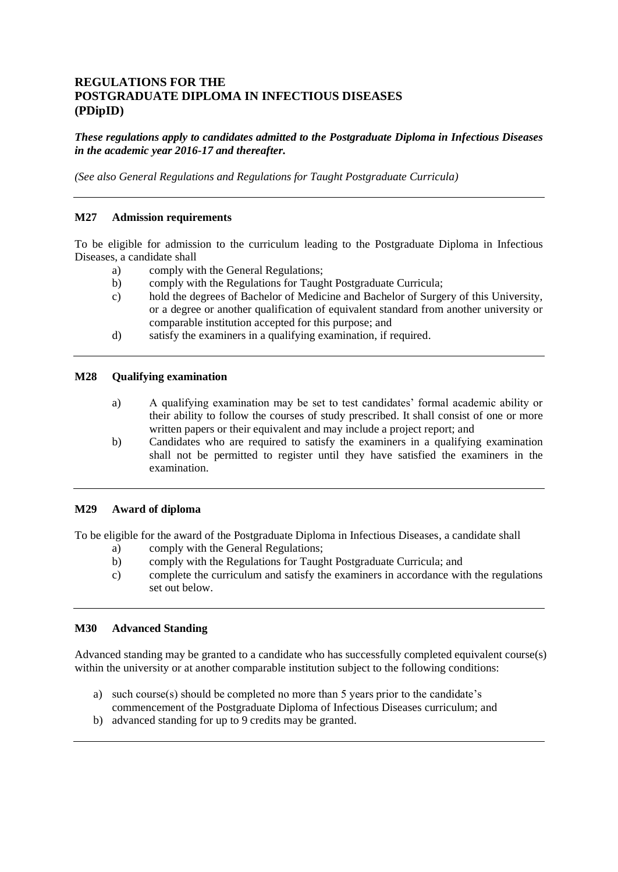# **REGULATIONS FOR THE POSTGRADUATE DIPLOMA IN INFECTIOUS DISEASES (PDipID)**

*These regulations apply to candidates admitted to the Postgraduate Diploma in Infectious Diseases in the academic year 2016-17 and thereafter.*

*(See also General Regulations and Regulations for Taught Postgraduate Curricula)*

#### **M27 Admission requirements**

To be eligible for admission to the curriculum leading to the Postgraduate Diploma in Infectious Diseases, a candidate shall

- a) comply with the General Regulations;
- b) comply with the Regulations for Taught Postgraduate Curricula;
- c) hold the degrees of Bachelor of Medicine and Bachelor of Surgery of this University, or a degree or another qualification of equivalent standard from another university or comparable institution accepted for this purpose; and
- d) satisfy the examiners in a qualifying examination, if required.

#### **M28 Qualifying examination**

- a) A qualifying examination may be set to test candidates' formal academic ability or their ability to follow the courses of study prescribed. It shall consist of one or more written papers or their equivalent and may include a project report; and
- b) Candidates who are required to satisfy the examiners in a qualifying examination shall not be permitted to register until they have satisfied the examiners in the examination.

#### **M29 Award of diploma**

To be eligible for the award of the Postgraduate Diploma in Infectious Diseases, a candidate shall

- a) comply with the General Regulations;
- b) comply with the Regulations for Taught Postgraduate Curricula; and
- c) complete the curriculum and satisfy the examiners in accordance with the regulations set out below.

## **M30 Advanced Standing**

Advanced standing may be granted to a candidate who has successfully completed equivalent course(s) within the university or at another comparable institution subject to the following conditions:

- a) such course(s) should be completed no more than 5 years prior to the candidate's commencement of the Postgraduate Diploma of Infectious Diseases curriculum; and
- b) advanced standing for up to 9 credits may be granted.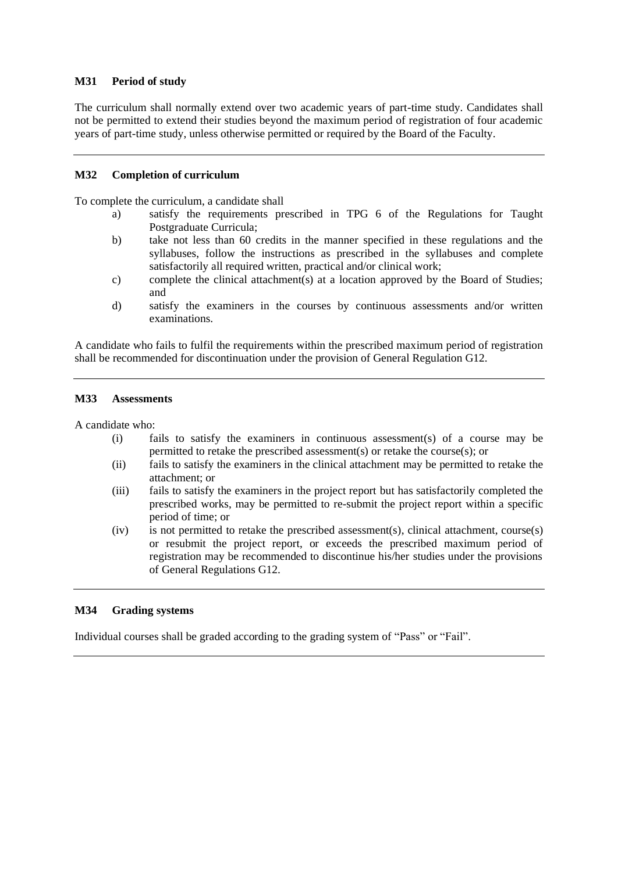## **M31 Period of study**

The curriculum shall normally extend over two academic years of part-time study. Candidates shall not be permitted to extend their studies beyond the maximum period of registration of four academic years of part-time study, unless otherwise permitted or required by the Board of the Faculty.

## **M32 Completion of curriculum**

To complete the curriculum, a candidate shall

- a) satisfy the requirements prescribed in TPG 6 of the Regulations for Taught Postgraduate Curricula;
- b) take not less than 60 credits in the manner specified in these regulations and the syllabuses, follow the instructions as prescribed in the syllabuses and complete satisfactorily all required written, practical and/or clinical work;
- c) complete the clinical attachment(s) at a location approved by the Board of Studies; and
- d) satisfy the examiners in the courses by continuous assessments and/or written examinations.

A candidate who fails to fulfil the requirements within the prescribed maximum period of registration shall be recommended for discontinuation under the provision of General Regulation G12.

#### **M33 Assessments**

A candidate who:

- (i) fails to satisfy the examiners in continuous assessment(s) of a course may be permitted to retake the prescribed assessment(s) or retake the course(s); or
- (ii) fails to satisfy the examiners in the clinical attachment may be permitted to retake the attachment; or
- (iii) fails to satisfy the examiners in the project report but has satisfactorily completed the prescribed works, may be permitted to re-submit the project report within a specific period of time; or
- (iv) is not permitted to retake the prescribed assessment(s), clinical attachment, course(s) or resubmit the project report, or exceeds the prescribed maximum period of registration may be recommended to discontinue his/her studies under the provisions of General Regulations G12.

## **M34 Grading systems**

Individual courses shall be graded according to the grading system of "Pass" or "Fail".